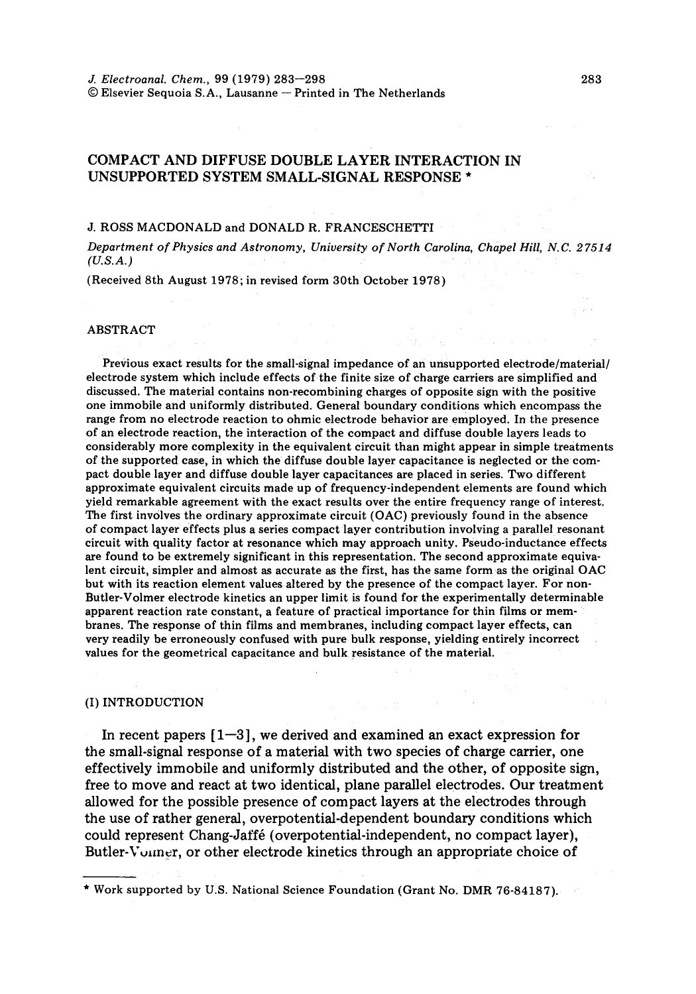# **COMPACT AND DIFFUSE DOUBLE LAYER INTERACTION IN UNSUPPORTED SYSTEM SMALL-SIGNAL RESPONSE \***

# J. ROSS MACDONALD and DONALD R. FRANCESCHETTI

*Department of Physics and Astronomy, University of North Carolina, Chapel Hill, N.C. 27514 (U.S.A.)* 

(Received 8th August 1978; in revised form 30th October 1978)

#### ABSTRACT

Previous exact results for the small-signal impedance of an unsupported electrode/material/ electrode system which include effects of the finite size of charge carriers are simplified and discussed. The material contains non-recombining charges of opposite sign with the positive one immobile and uniformly distributed. General boundary conditions which encompass the range from no electrode reaction to ohmic electrode behavior are employed. In the presence of an electrode reaction, the interaction of the compact and diffuse double layers leads to considerably more complexity in the equivalent circuit than might appear in simple treatments of the supported case, in which the diffuse double layer capacitance is neglected or the compact double layer and diffuse double layer capacitances are placed in series. Two different approximate equivalent circuits made up of frequency-independent elements are found which yield remarkable agreement with the exact results over the entire frequency range of interest. The first involves the ordinary approximate circuit (OAC) previously found in the absence of compact layer effects plus a series compact layer contribution involving a parallel resonant circuit with quality factor at resonance which may approach unity. Pseudo-inductance effects are found to be extremely significant in this representation. The second approximate equivalent circuit, simpler and almost as accurate as the first, has the same form as the original OAC but with its reaction element values altered by the presence of the compact layer. For non-Butler-Volmer electrode kinetics an upper limit is found for the experimentally determinable apparent reaction rate constant, a feature of practical importance for thin films or membranes. The response of thin films and membranes, including compact layer effects, can very readily be erroneously confused with pure bulk response, yielding entirely incorrect values for the geometrical capacitance and bulk resistance of the material.

#### (I) INTRODUCTION

In recent papers  $[1-3]$ , we derived and examined an exact expression for the small-signal response of a material with two species of charge carrier, one effectively immobile and uniformly distributed and the other, of opposite sign, free to move and react at two identical, plane parallel electrodes. Our treatment allowed for the possible presence of compact layers at the electrodes through the use of rather general, overpotential-dependent boundary conditions which could represent Chang-Jaffé (overpotential-independent, no compact layer), Butler-Voimer, or other electrode kinetics through an appropriate choice of

<sup>\*</sup> Work supported by U.S. National Science Foundation (Grant No. DMR 76-84187).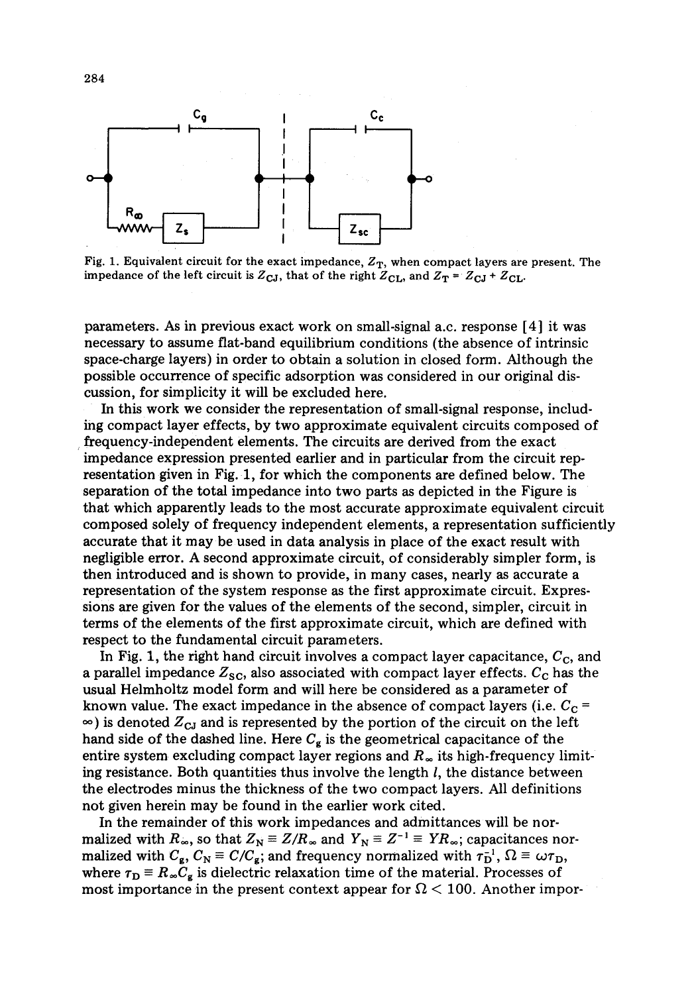

Fig. 1. Equivalent circuit for the exact impedance,  $Z_T$ , when compact layers are present. The impedance of the left circuit is  $Z_{CJ}$ , that of the right  $Z_{CL}$ , and  $Z_T = Z_{CJ} + Z_{CL}$ .

parameters. As in previous exact work on small-signal a.c. response [4] it was necessary to assume flat-band equilibrium conditions (the absence of intrinsic space-charge layers) in order to obtain a solution in closed form. Although the possible occurrence of specific adsorption was considered in our original discussion, for simplicity it will be excluded here.

In this work we consider the representation of small-signal response, including compact layer effects, by two approximate equivalent circuits composed of frequency-independent elements. The circuits are derived from the exact impedance expression presented earlier and in particular from the circuit representation given in Fig. 1, for which the components are defined below. The separation of the total impedance into two parts as depicted in the Figure is that which apparently leads to the most accurate approximate equivalent circuit composed solely of frequency independent elements, a representation sufficiently accurate that it may be used in data analysis in place of the exact result with negligible error. A second approximate circuit, of considerably simpler form, is then introduced and is shown to provide, in many cases, nearly as accurate a representation of the system response as the first approximate circuit. Expressions are given for the values of the elements of the second, simpler, circuit in terms of the elements of the first approximate circuit, which are defined with respect to the fundamental circuit parameters.

In Fig. 1, the right hand circuit involves a compact layer capacitance,  $C_{\rm C}$ , and a parallel impedance  $Z_{SC}$ , also associated with compact layer effects.  $C_{C}$  has the usual Helmholtz model form and will here be considered as a parameter of known value. The exact impedance in the absence of compact layers (i.e.  $C_C$  =  $\infty$ ) is denoted  $Z_{CJ}$  and is represented by the portion of the circuit on the left hand side of the dashed line. Here  $C_{g}$  is the geometrical capacitance of the entire system excluding compact layer regions and  $R_{\infty}$  its high-frequency limiting resistance. Both quantities thus involve the length  $l$ , the distance between the electrodes minus the thickness of the two compact layers. All definitions not given herein may be found in the earlier work cited.

In the remainder of this work impedances and admittances will be normalized with  $R_{\infty}$ , so that  $Z_N = Z/R_{\infty}$  and  $Y_N = Z^{-1} = YR_{\infty}$ ; capacitances normalized with  $C_g$ ,  $C_N \equiv C/C_g$ ; and frequency normalized with  $\tau_D^{-1}$ ,  $\Omega \equiv \omega \tau_D$ , where  $\tau_{\text{D}} = R_{\infty}C_{g}$  is dielectric relaxation time of the material. Processes of most importance in the present context appear for  $\Omega$  < 100. Another impor-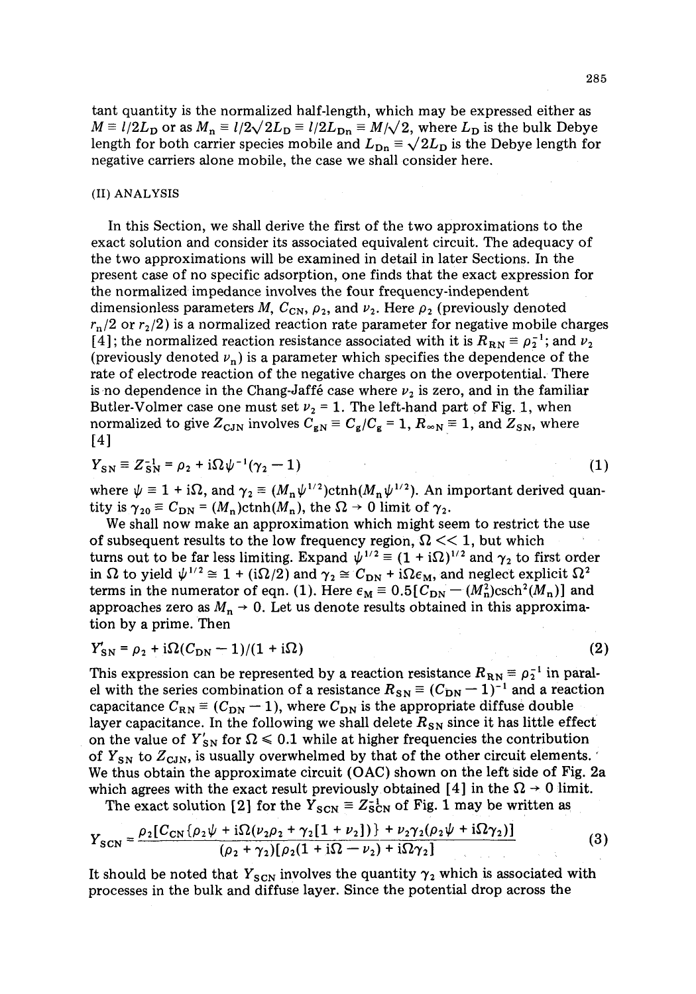tant quantity is the normalized half-length, which may be expressed either as  $M \equiv l/2L_D$  or as  $M_n \equiv l/2\sqrt{2L_D} \equiv l/2L_{Dn} \equiv M/\sqrt{2}$ , where  $L_D$  is the bulk Debye length for both carrier species mobile and  $L_{\text{Dn}} \equiv \sqrt{2L_{\text{D}}}$  is the Debye length for negative carriers alone mobile, the case we shall consider here.

### (II) ANALYSIS

In this Section, we shall derive the first of the two approximations to the exact solution and consider its associated equivalent circuit. The adequacy of the two approximations will be examined in detail in later Sections. In the present case of no specific adsorption, one finds that the exact expression for the normalized impedance involves the four frequency-independent dimensionless parameters M,  $C_{CN}$ ,  $\rho_2$ , and  $\nu_2$ . Here  $\rho_2$  (previously denoted  $r_n/2$  or  $r_2/2$ ) is a normalized reaction rate parameter for negative mobile charges [4]; the normalized reaction resistance associated with it is  $R_{RN} \equiv \rho_2^{-1}$ ; and  $\nu_2$ (previously denoted  $v_n$ ) is a parameter which specifies the dependence of the rate of electrode reaction of the negative charges on the overpotential. There is no dependence in the Chang-Jaffé case where  $\nu_2$  is zero, and in the familiar Butler-Volmer case one must set  $\nu_2 = 1$ . The left-hand part of Fig. 1, when normalized to give  $Z_{\text{CJN}}$  involves  $C_{\text{gN}} \equiv C_{\text{g}}/C_{\text{g}} = 1$ ,  $R_{\infty \text{N}} \equiv 1$ , and  $Z_{\text{SN}}$ , where [4]

$$
Y_{SN} = Z_{SN}^{-1} = \rho_2 + i\Omega \psi^{-1} (\gamma_2 - 1)
$$
 (1)

where  $\psi = 1 + i\Omega$ , and  $\gamma_2 = (M_n \psi^{1/2}) \text{ctnh}(M_n \psi^{1/2})$ . An important derived quantity is  $\gamma_{20} \equiv C_{DN} = (M_n) \text{ctnh}(M_n)$ , the  $\Omega \to 0$  limit of  $\gamma_2$ .

We shall now make an approximation which might seem to restrict the use of subsequent results to the low frequency region,  $\Omega \ll 1$ , but which turns out to be far less limiting. Expand  $\psi^{1/2} \equiv (1 + i\Omega)^{1/2}$  and  $\gamma_2$  to first order in  $\Omega$  to yield  $\psi^{1/2} \cong 1 + (i\Omega/2)$  and  $\gamma_2 \cong C_{DN} + i\Omega \epsilon_M$ , and neglect explicit  $\Omega^2$ terms in the numerator of eqn. (1). Here  $\epsilon_M \equiv 0.5[C_{DN} - (M_n^2) \text{csch}^2(M_n)]$  and approaches zero as  $M_n \rightarrow 0$ . Let us denote results obtained in this approximation by a prime. Then

$$
Y'_{SN} = \rho_2 + i\Omega (C_{DN} - 1)/(1 + i\Omega)
$$
 (2)

This expression can be represented by a reaction resistance  $R_{\rm RN} \equiv \rho_2^{-1}$  in paralel with the series combination of a resistance  $R_{SN} \equiv (C_{DN} - 1)^{-1}$  and a reaction capacitance  $C_{RN} \equiv (C_{DN} - 1)$ , where  $C_{DN}$  is the appropriate diffuse double layer capacitance. In the following we shall delete  $R_{SN}$  since it has little effect on the value of  $Y'_{SN}$  for  $\Omega \leq 0.1$  while at higher frequencies the contribution of  $Y_{SN}$  to  $Z_{CIN}$ , is usually overwhelmed by that of the other circuit elements. We thus obtain the approximate circuit (OAC) shown on the left side of Fig. 2a which agrees with the exact result previously obtained [4] in the  $\Omega \rightarrow 0$  limit.

The exact solution [2] for the  $Y_{\text{SCN}} \equiv Z_{\text{SCN}}^{-1}$  of Fig. 1 may be written as

$$
Y_{\text{SCN}} = \frac{\rho_2 [C_{\text{CN}} \{\rho_2 \psi + i\Omega (\nu_2 \rho_2 + \gamma_2 [1 + \nu_2])\} + \nu_2 \gamma_2 (\rho_2 \psi + i\Omega \gamma_2)]}{(\rho_2 + \gamma_2) [\rho_2 (1 + i\Omega - \nu_2) + i\Omega \gamma_2]}
$$
(3)

It should be noted that  $Y_{SCN}$  involves the quantity  $\gamma_2$  which is associated with processes in the bulk and diffuse layer. Since the potential drop across the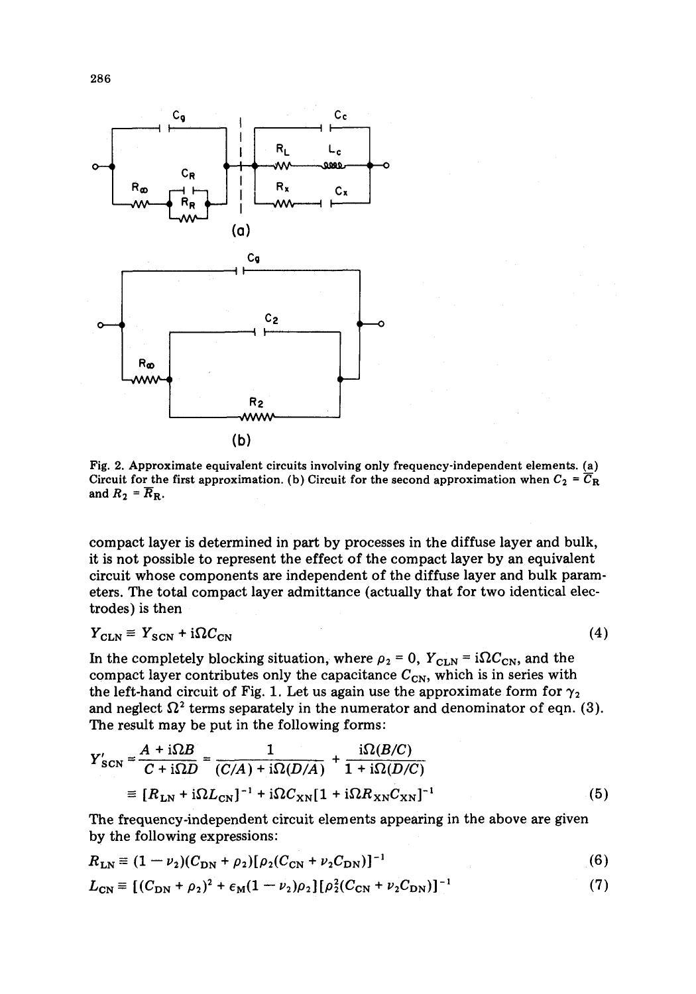

Fig. 2. Approximate equivalent circuits involving only frequency-independent elements. (a) Circuit for the first approximation. (b) Circuit for the second approximation when  $C_2 = \overline{C}_R$ and  $R_2 = \overline{R}_R$ .

compact layer is determined in part by processes in the diffuse layer and bulk, it is not possible to represent the effect of the compact layer by an equivalent circuit whose components are independent of the diffuse layer and bulk parameters. The total compact layer admittance (actually that for two identical electrodes) is then

$$
Y_{\text{CLN}} \equiv Y_{\text{SCN}} + \text{i}\Omega C_{\text{CN}} \tag{4}
$$

In the completely blocking situation, where  $\rho_2 = 0$ ,  $Y_{CLN} = i\Omega C_{CN}$ , and the compact layer contributes only the capacitance  $C_{CN}$ , which is in series with the left-hand circuit of Fig. 1. Let us again use the approximate form for  $\gamma_2$ and neglect  $\Omega^2$  terms separately in the numerator and denominator of eqn. (3). The result may be put in the following forms:

$$
Y'_{SCN} = \frac{A + i\Omega B}{C + i\Omega D} = \frac{1}{(C/A) + i\Omega(D/A)} + \frac{i\Omega(B/C)}{1 + i\Omega(D/C)}
$$
  

$$
\equiv [R_{LN} + i\Omega L_{CN}]^{-1} + i\Omega C_{XN}[1 + i\Omega R_{XN}C_{XN}]^{-1}
$$
(5)

The frequency-independent circuit elements appearing in the above are given by the following expressions:

$$
R_{LN} = (1 - \nu_2)(C_{DN} + \rho_2)[\rho_2(C_{CN} + \nu_2 C_{DN})]^{-1}
$$
 (6)

$$
L_{CN} = [(C_{DN} + \rho_2)^2 + \epsilon_M (1 - \nu_2) \rho_2] [\rho_2^2 (C_{CN} + \nu_2 C_{DN})]^{-1}
$$
 (7)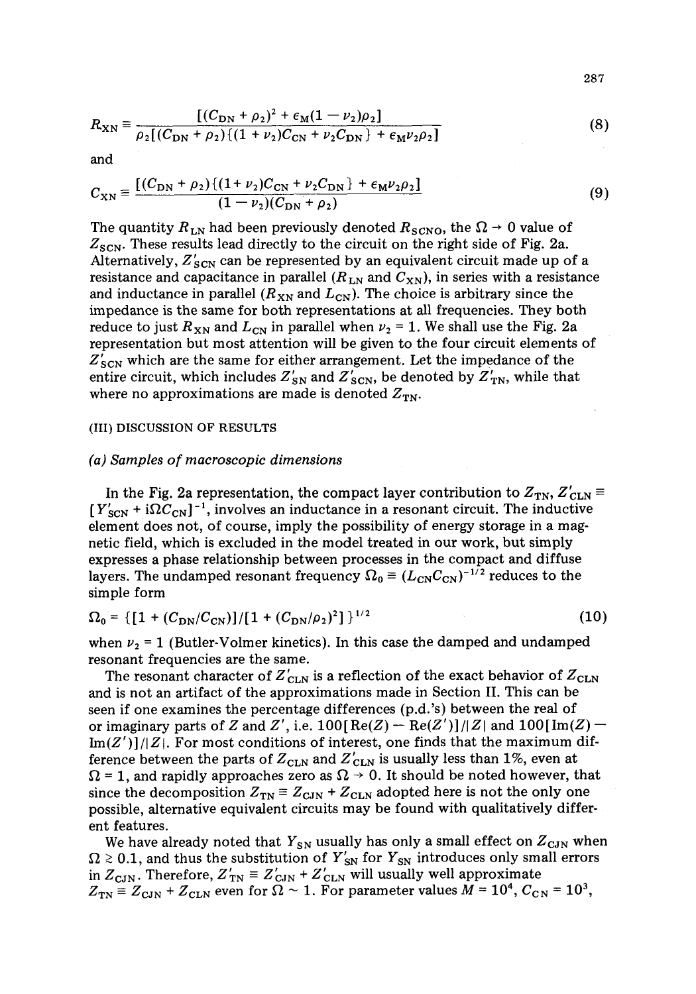$$
^{287}
$$

$$
R_{\rm{XN}} \equiv \frac{[(C_{\rm{DN}} + \rho_2)^2 + \epsilon_{\rm{M}}(1 - \nu_2)\rho_2]}{\rho_2[(C_{\rm{DN}} + \rho_2)\{(1 + \nu_2)C_{\rm{CN}} + \nu_2 C_{\rm{DN}}\} + \epsilon_{\rm{M}}\nu_2\rho_2]}\tag{8}
$$

and

$$
C_{\rm XN} \equiv \frac{[(C_{\rm DN} + \rho_2) \{ (1 + \nu_2) C_{\rm CN} + \nu_2 C_{\rm DN} \} + \epsilon_{\rm M} \nu_2 \rho_2]}{(1 - \nu_2)(C_{\rm DN} + \rho_2)}
$$
(9)

The quantity  $R_{LN}$  had been previously denoted  $R_{SCNO}$ , the  $\Omega \rightarrow 0$  value of  $Z_{SCN}$ . These results lead directly to the circuit on the right side of Fig. 2a. Alternatively,  $Z'_{\text{SCN}}$  can be represented by an equivalent circuit made up of a resistance and capacitance in parallel  $(R_{LN}$  and  $C_{XN}$ , in series with a resistance and inductance in parallel  $(R_{XN}$  and  $L_{CN}$ ). The choice is arbitrary since the impedance is the same for both representations at all frequencies. They both reduce to just  $R_{XN}$  and  $L_{CN}$  in parallel when  $\nu_2 = 1$ . We shall use the Fig. 2a representation but most attention will be given to the four circuit elements of  $Z'_{\rm{SCN}}$  which are the same for either arrangement. Let the impedance of the entire circuit, which includes  $Z'_{SN}$  and  $Z'_{SCN}$ , be denoted by  $Z'_{TN}$ , while that where no approximations are made is denoted  $Z_{TN}$ .

### (III) DISCUSSION OF RESULTS

#### *(a) Samples of macroscopic dimensions*

In the Fig. 2a representation, the compact layer contribution to  $Z_{TN}$ ,  $Z'_{CLN}$  $[Y'_{\text{SCN}} + i\Omega C_{\text{CN}}]^{-1}$ , involves an inductance in a resonant circuit. The inductive element does not, of course, imply the possibility of energy storage in a magnetic field, which is excluded in the model treated in our work, but simply expresses a phase relationship between processes in the compact and diffuse layers. The undamped resonant frequency  $\Omega_0 \equiv (L_{CN}C_{CN})^{-1/2}$  reduces to the simple form

$$
\Omega_0 = \{ [1 + (C_{DN}/C_{CN})]/[1 + (C_{DN}/\rho_2)^2] \}^{1/2}
$$
\n(10)

when  $\nu_2 = 1$  (Butler-Volmer kinetics). In this case the damped and undamped resonant frequencies are the same.

The resonant character of  $Z'_{\text{CLN}}$  is a reflection of the exact behavior of  $Z_{\text{CLN}}$ and is not an artifact of the approximations made in Section II. This can be seen if one examines the percentage differences (p.d.'s) between the real of or imaginary parts of Z and Z', i.e.  $100[Re(Z) - Re(Z')] / |Z|$  and  $100[Im(Z) Im(Z')$ ]/ $|Z|$ . For most conditions of interest, one finds that the maximum difference between the parts of  $Z_{CLN}$  and  $Z'_{CLN}$  is usually less than 1%, even at  $\Omega$  = 1, and rapidly approaches zero as  $\Omega \rightarrow 0$ . It should be noted however, that since the decomposition  $Z_{TN} = Z_{CN} + Z_{CLN}$  adopted here is not the only one possible, alternative equivalent circuits may be found with qualitatively different features.

We have already noted that  $Y_{SN}$  usually has only a small effect on  $Z_{CJN}$  when  $\Omega \geq 0.1$ , and thus the substitution of  $Y'_{SN}$  for  $Y_{SN}$  introduces only small errors in  $Z_{\text{CJN}}$ . Therefore,  $Z'_{\text{TN}} \equiv Z'_{\text{CJN}} + Z'_{\text{CLN}}$  will usually well approximate  $Z_{\text{TN}} = Z_{\text{CJN}} + Z_{\text{CLN}}$  even for  $\Omega \sim 1$ . For parameter values  $M = 10^4$ ,  $C_{\text{CN}} = 10^3$ ,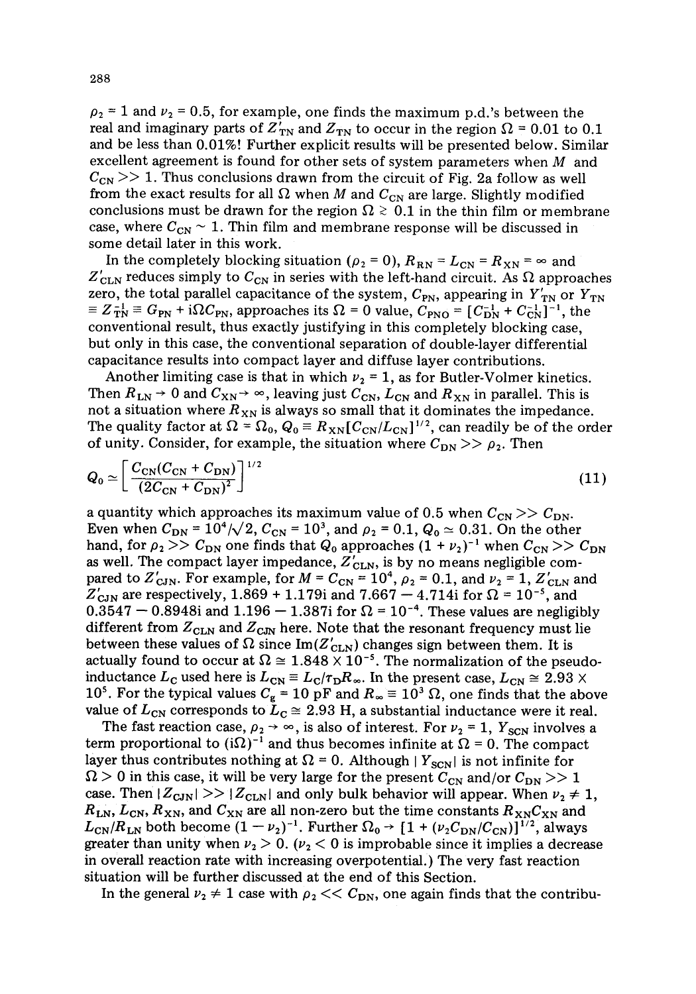$\rho_2 = 1$  and  $\nu_2 = 0.5$ , for example, one finds the maximum p.d.'s between the real and imaginary parts of  $Z'_{TN}$  and  $Z_{TN}$  to occur in the region  $\Omega = 0.01$  to 0.1 and be less than 0.01%! Further explicit results will be presented below. Similar excellent agreement is found for other sets of system parameters when M and  $C_{\text{CN}} >> 1$ . Thus conclusions drawn from the circuit of Fig. 2a follow as well from the exact results for all  $\Omega$  when M and  $C_{\text{CN}}$  are large. Slightly modified conclusions must be drawn for the region  $\Omega \geq 0.1$  in the thin film or membrane case, where  $C_{CN} \sim 1$ . Thin film and membrane response will be discussed in some detail later in this work.

In the completely blocking situation ( $\rho_2 = 0$ ),  $R_{RN} = L_{CN} = R_{XN} = \infty$  and  $Z'_{\text{CLN}}$  reduces simply to  $C_{\text{CN}}$  in series with the left-hand circuit. As  $\Omega$  approaches zero, the total parallel capacitance of the system,  $C_{PN}$ , appearing in  $Y'_{TN}$  or  $Y_{TN}$  $\equiv Z_{\text{TN}}^{-1} \equiv G_{\text{PN}} + i\Omega C_{\text{PN}}$ , approaches its  $\Omega = 0$  value,  $C_{\text{PNO}} = [C_{\text{DN}}^{-1} + C_{\text{CN}}^{-1}]^{-1}$ , the conventional result, thus exactly justifying in this completely blocking case, but only in this case, the conventional separation of double-layer differential capacitance results into compact layer and diffuse layer contributions.

Another limiting case is that in which  $\nu_2 = 1$ , as for Butler-Volmer kinetics. Then  $R_{LN} \rightarrow 0$  and  $C_{XN} \rightarrow \infty$ , leaving just  $C_{CN}$ ,  $L_{CN}$  and  $R_{XN}$  in parallel. This is not a situation where  $R_{XN}$  is always so small that it dominates the impedance. The quality factor at  $\Omega = \Omega_0$ ,  $Q_0 = R_{XN} [C_{CN}/L_{CN}]^{1/2}$ , can readily be of the order of unity. Consider, for example, the situation where  $C_{DN} >> \rho_2$ . Then

$$
Q_0 \simeq \left[ \frac{C_{\rm CN}(C_{\rm CN} + C_{\rm DN})}{(2C_{\rm CN} + C_{\rm DN})^2} \right]^{1/2} \tag{11}
$$

a quantity which approaches its maximum value of 0.5 when  $C_{\text{CN}} >> C_{\text{DN}}$ . Even when  $C_{DN} = 10^4/\sqrt{2}$ ,  $C_{CN} = 10^3$ , and  $\rho_2 = 0.1$ ,  $Q_0 \simeq 0.31$ . On the other hand, for  $\rho_2 >> C_{DN}$  one finds that  $Q_0$  approaches  $(1 + \nu_2)^{-1}$  when  $C_{CN} >> C_{DN}$ as well. The compact layer impedance,  $Z'_{\text{CLN}}$ , is by no means negligible compared to  $Z'_{\text{CJN}}$ . For example, for  $M=C_{\text{CN}}=10^4$ ,  $\rho_2 = 0.1$ , and  $v_2 = 1$ ,  $Z'_{\text{CLN}}$  and  $Z'_{\text{CJN}}$  are respectively, 1.869 + 1.179i and 7.667 – 4.714i for  $\Omega = 10^{-5}$ , and  $0.3547 - 0.8948$ i and  $1.196 - 1.387$ i for  $\Omega = 10^{-4}$ . These values are negligibly different from  $Z_{\text{CLN}}$  and  $Z_{\text{CLN}}$  here. Note that the resonant frequency must lie between these values of  $\Omega$  since Im( $Z'_{CLN}$ ) changes sign between them. It is actually found to occur at  $\Omega \cong 1.848 \times 10^{-5}$ . The normalization of the pseudoinductance  $L_c$  used here is  $L_{CN} = L_c/r_p R_\infty$ . In the present case,  $L_{CN} \approx 2.93 \times$  $10^5$ . For the typical values  $C_g = 10 \text{ pF}$  and  $R_\infty = 10^3 \Omega$ , one finds that the above value of  $L_{CN}$  corresponds to  $L_{C} \cong 2.93$  H, a substantial inductance were it real.

The fast reaction case,  $\rho_2 \rightarrow \infty$ , is also of interest. For  $\nu_2 = 1$ ,  $Y_{SCN}$  involves a term proportional to  $(i\Omega)^{-1}$  and thus becomes infinite at  $\Omega = 0$ . The compact layer thus contributes nothing at  $\Omega = 0$ . Although |  $Y_{\text{SCN}}$ | is not infinite for  $\Omega > 0$  in this case, it will be very large for the present  $C_{CN}$  and/or  $C_{DN} >> 1$ case. Then  $|Z_{\text{CJN}}| >> |Z_{\text{CLN}}|$  and only bulk behavior will appear. When  $\nu_2 \neq 1$ ,  $R_{LN}$ ,  $L_{CN}$ ,  $R_{XN}$ , and  $C_{XN}$  are all non-zero but the time constants  $R_{XN}C_{XN}$  and  $L_{CN}/R_{LN}$  both become  $(1 - \nu_2)^{-1}$ . Further  $\Omega_0 \rightarrow [1 + (\nu_2 C_{DN}/C_{CN})]^{1/2}$ , always greater than unity when  $\nu_2 > 0$ . ( $\nu_2 < 0$  is improbable since it implies a decrease in overall reaction rate with increasing overpotential.) The very fast reaction situation will be further discussed at the end of this Section.

In the general  $v_2 \neq 1$  case with  $\rho_2 \ll C_{DN}$ , one again finds that the contribu-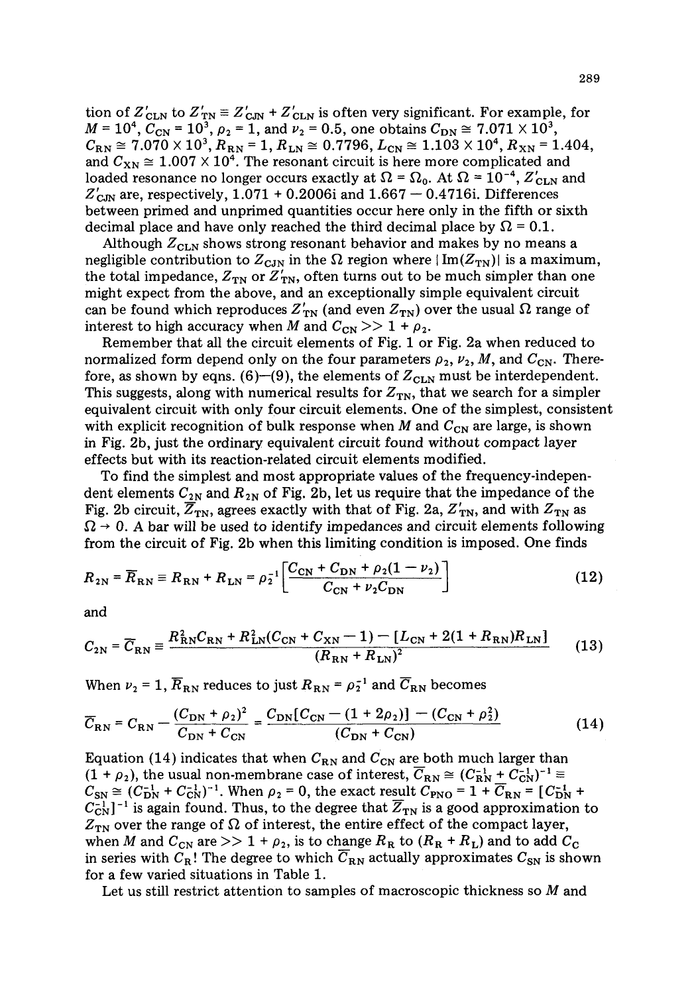tion of  $Z'_{\text{CLN}}$  to  $Z'_{\text{TN}} \equiv Z'_{\text{CN}} + Z'_{\text{CLN}}$  is often very significant. For example, for  $M = 10^4$ ,  $C_{CN} = 10^3$ ,  $\rho_2 = 1$ , and  $\nu_2 = 0.5$ , one obtains  $C_{DN} \cong 7.071 \times 10^3$ ,  $C_{\rm RN} \cong 7.070 \times 10^3$ ,  $R_{\rm RN} = 1$ ,  $R_{\rm LN} \cong 0.7796$ ,  $L_{\rm CN} \cong 1.103 \times 10^4$ ,  $R_{\rm XN} = 1.404$ , and  $C_{\text{XN}} \approx 1.007 \times 10^4$ . The resonant circuit is here more complicated and loaded resonance no longer occurs exactly at  $\Omega = \Omega_0$ . At  $\Omega = 10^{-4}$ ,  $Z'_{CLN}$  and  $Z'_{\text{C}N}$  are, respectively, 1.071 + 0.2006i and 1.667 – 0.4716i. Differences between primed and unprimed quantities occur here only in the fifth or sixth decimal place and have only reached the third decimal place by  $\Omega = 0.1$ .

Although  $Z_{CLN}$  shows strong resonant behavior and makes by no means a negligible contribution to  $Z_{\text{CJN}}$  in the  $\Omega$  region where  $|\text{Im}(Z_{\text{TN}})|$  is a maximum, the total impedance,  $Z_{TN}$  or  $Z'_{TN}$ , often turns out to be much simpler than one might expect from the above, and an exceptionally simple equivalent circuit can be found which reproduces  $Z'_{TN}$  (and even  $Z_{TN}$ ) over the usual  $\Omega$  range of interest to high accuracy when M and  $C_{CN} >> 1 + \rho_2$ .

Remember that all the circuit elements of Fig. 1 or Fig. 2a when reduced to normalized form depend only on the four parameters  $\rho_2$ ,  $\nu_2$ , M, and  $C_{CN}$ . Therefore, as shown by eqns. (6)–(9), the elements of  $Z_{CLN}$  must be interdependent. This suggests, along with numerical results for  $Z_{TN}$ , that we search for a simpler equivalent circuit with only four circuit elements. One of the simplest, consistent with explicit recognition of bulk response when  $M$  and  $C_{CN}$  are large, is shown in Fig. 2b, just the ordinary equivalent circuit found without compact layer effects but with its reaction-related circuit elements modified.

To find the simplest and most appropriate values of the frequency-independent elements  $C_{2N}$  and  $R_{2N}$  of Fig. 2b, let us require that the impedance of the Fig. 2b circuit,  $\overline{Z}_{TN}$ , agrees exactly with that of Fig. 2a,  $Z'_{TN}$ , and with  $Z_{TN}$  as  $\Omega \rightarrow 0$ . A bar will be used to identify impedances and circuit elements following from the circuit of Fig. 2b when this limiting condition is imposed. One finds

$$
R_{2N} = \overline{R}_{RN} \equiv R_{RN} + R_{LN} = \rho_2^{-1} \left[ \frac{C_{CN} + C_{DN} + \rho_2 (1 - \nu_2)}{C_{CN} + \nu_2 C_{DN}} \right]
$$
(12)

and

$$
C_{2N} = \overline{C}_{RN} \equiv \frac{R_{RN}^2 C_{RN} + R_{LN}^2 (C_{CN} + C_{XN} - 1) - [L_{CN} + 2(1 + R_{RN})R_{LN}]}{(R_{RN} + R_{LN})^2}
$$
(13)

When  $v_2 = 1$ ,  $\overline{R}_{\text{RN}}$  reduces to just  $R_{\text{RN}} = \rho_2^{-1}$  and  $\overline{C}_{\text{RN}}$  becomes

$$
\overline{C}_{\rm RN} = C_{\rm RN} - \frac{(C_{\rm DN} + \rho_2)^2}{C_{\rm DN} + C_{\rm CN}} = \frac{C_{\rm DN} [C_{\rm CN} - (1 + 2\rho_2)] - (C_{\rm CN} + \rho_2^2)}{(C_{\rm DN} + C_{\rm CN})}
$$
(14)

Equation (14) indicates that when  $C_{RN}$  and  $C_{CN}$  are both much larger than  $(1 + \rho_2)$ , the usual non-membrane case of interest,  $\overline{C}_{RN} \cong (C_{RN}^{-1} + C_{CN}^{-1})^{-1} \cong$  $C_{\rm SN} \cong (C_{\rm DN}^{-1} + C_{\rm CN}^{-1})^{-1}$ . When  $\rho_2 = 0$ , the exact result  $C_{\rm PNO} = 1 + \overline{C}_{\rm RN} = [C_{\rm DN}^{-1} + C_{\rm CN}^{-1}]$  $C_{\text{CN}}^{-1}$ ]<sup>-1</sup> is again found. Thus, to the degree that  $\overline{Z}_{\text{TN}}$  is a good approximation to  $Z_{TN}$  over the range of  $\Omega$  of interest, the entire effect of the compact layer, when M and  $C_{CN}$  are  $>> 1 + \rho_2$ , is to change  $R_R$  to  $(R_R + R_L)$  and to add  $C_C$ in series with  $C_R$ ! The degree to which  $\overline{C}_{RN}$  actually approximates  $C_{SN}$  is shown for a few varied situations in Table 1.

Let us still restrict attention to samples of macroscopic thickness so M and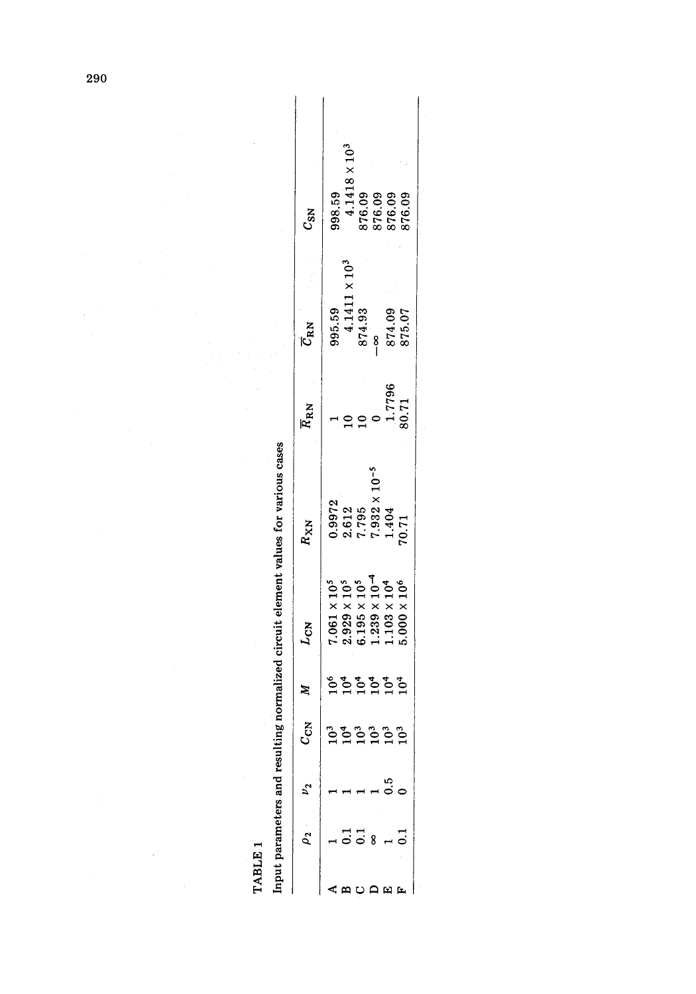|                        | $\rho_2$                        | $\mathcal{L}_{2}$ | C <sub>CN</sub> |       | $L_{\rm CN}$                                                                                                              | $R_{\rm XN}$                                                          | $\overline{R}_{\rm RN}$ | Ka<br>G                | $C_{\rm SN}$                         |
|------------------------|---------------------------------|-------------------|-----------------|-------|---------------------------------------------------------------------------------------------------------------------------|-----------------------------------------------------------------------|-------------------------|------------------------|--------------------------------------|
| ⋖                      |                                 |                   |                 |       | $7.061 \times 10^{5}$                                                                                                     | 0.9972                                                                |                         | 995.59                 | 998.59                               |
|                        |                                 |                   |                 |       |                                                                                                                           |                                                                       |                         | $4.1411 \times 10^{3}$ | $4.1418 \times 10^{3}$               |
|                        | $\overline{5}$ $\overline{5}$ 8 |                   |                 |       |                                                                                                                           | 2.612<br>7.795                                                        |                         | 874.93                 |                                      |
| $m \circ \Omega$<br>国国 |                                 |                   | esses<br>Sesses | 25222 | $2.929 \times 10^5$<br>6.195 $\times$ 10 <sup>5</sup><br>1.239 $\times$ 10 <sup>4</sup><br>1.103 $\times$ 10 <sup>4</sup> |                                                                       |                         | $\frac{8}{1}$          |                                      |
|                        |                                 |                   |                 |       |                                                                                                                           |                                                                       | 1.7796                  |                        |                                      |
|                        |                                 |                   |                 |       | $5.000 \times 10^{6}$                                                                                                     | $\begin{array}{l} 7.932 \times 10^{-5} \\ 1.404 \\ 70.71 \end{array}$ | 80.71                   | 874.09<br>875.07       | 876.09<br>876.09<br>876.09<br>876.09 |

Input parameters and resulting normalized circuit element values for various cases

TABLE<sub>1</sub>

 $\overline{\phantom{a}}$ 

 $\frac{1}{2}$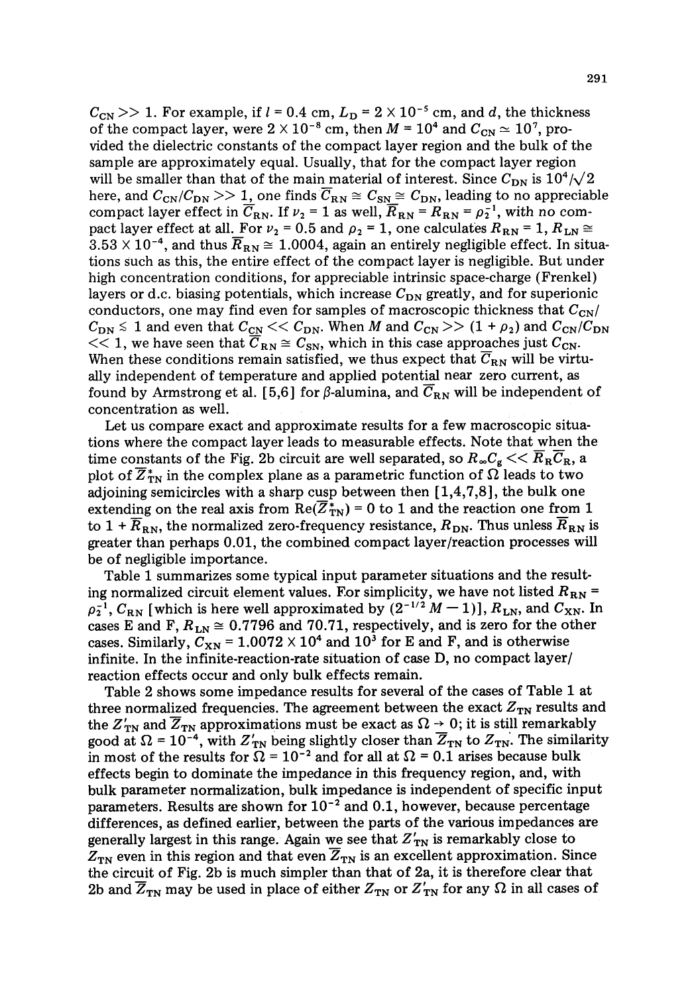$C_{\rm CN}$  >> 1. For example, if  $l = 0.4$  cm,  $L_{\rm D} = 2 \times 10^{-5}$  cm, and d, the thickness of the compact layer, were  $2 \times 10^{-8}$  cm, then  $M = 10^4$  and  $C_{CN} \simeq 10^7$ , provided the dielectric constants of the compact layer region and the bulk of the sample are approximately equal. Usually, that for the compact layer region will be smaller than that of the main material of interest. Since  $C_{DN}$  is  $10^4/\sqrt{2}$ here, and  $C_{CN}/C_{DN} >> 1$ , one finds  $\overline{C}_{RN} \cong C_{SN} \cong C_{DN}$ , leading to no appreciable compact layer effect in  $\overline{C_{\rm RN}}$ . If  $\nu_2 = 1$  as well,  $\overline{R}_{\rm RN} = R_{\rm RN} = \rho_2^{-1}$ , with no compact layer effect at all. For  $v_2 = 0.5$  and  $\rho_2 = 1$ , one calculates  $R_{RN} = 1$ ,  $R_{LN} \approx$  $3.53 \times 10^{-4}$ , and thus  $\overline{R}_{\rm RN} \approx 1.0004$ , again an entirely negligible effect. In situations Such as this, the entire effect of the compact layer is negligible. But under high concentration conditions, for appreciable intrinsic space-charge (Frenkel) layers or d.c. biasing potentials, which increase  $C_{DN}$  greatly, and for superionic conductors, one may find even for samples of macroscopic thickness that *Ccs/*   $C_{DN} \leq 1$  and even that  $C_{CN} << C_{DN}$ . When M and  $C_{CN} >> (1 + \rho_2)$  and  $C_{CN}/C_{DN}$  $<< 1$ , we have seen that  $\overline{C}_{\rm RN} \cong C_{\rm SN}$ , which in this case approaches just  $C_{\rm CN}$ . When these conditions remain satisfied, we thus expect that  $\overline{C}_{RN}$  will be virtually independent of temperature and applied potential near zero current, as found by Armstrong et al. [5,6] for  $\beta$ -alumina, and  $\overline{C_{RN}}$  will be independent of concentration as well.

Let us compare exact and approximate results for a few macroscopic situations where the compact layer leads to measurable effects. Note that when the time constants of the Fig. 2b circuit are well separated, so  $R_{\infty}C_{\rm g} << \overline{R}_{\rm R} \overline{C}_{\rm R},$  a plot of  $\overline{Z}_{\text{TN}}^*$  in the complex plane as a parametric function of  $\Omega$  leads to two adjoining semicircles with a sharp cusp between then [1,4,7,8], the bulk one extending on the real axis from  $\text{Re}(\overline{Z}_{TN}^*) = 0$  to 1 and the reaction one from 1 to  $1 + \overline{R}_{\text{RN}}$ , the normalized zero-frequency resistance,  $R_{\text{DN}}$ . Thus unless  $\overline{R}_{\text{RN}}$  is greater than perhaps 0.01, the combined compact layer/reaction processes will be of negligible importance.

Table 1 summarizes some typical input parameter situations and the resulting normalized circuit element values. For simplicity, we have not listed  $R_{RN}$  =  $\rho_2^{-1}$ ,  $C_{RN}$  [which is here well approximated by  $(2^{-1/2} M - 1)$ ],  $R_{LN}$ , and  $C_{XN}$ . In cases E and F,  $R_{LN} \approx 0.7796$  and 70.71, respectively, and is zero for the other cases. Similarly,  $C_{XN}$  = 1.0072  $\times$  10<sup>4</sup> and 10<sup>3</sup> for E and F, and is otherwise infinite. In the infinite-reaction-rate situation of case D, no compact layer/ reaction effects occur and only bulk effects remain.

Table 2 shows some impedance results for several of the cases of Table 1 at three normalized frequencies. The agreement between the exact  $Z_{TN}$  results and the  $Z'_{TN}$  and  $\overline{Z}_{TN}$  approximations must be exact as  $\Omega \rightarrow 0$ ; it is still remarkably good at  $\Omega$  = 10<sup>-4</sup>, with  $Z'_{TN}$  being slightly closer than  $\overline{Z}_{TN}$  to  $Z_{TN}$ . The similarity in most of the results for  $\Omega = 10^{-2}$  and for all at  $\Omega = 0.1$  arises because bulk effects begin to dominate the impedance in this frequency region, and, with bulk parameter normalization, bulk impedance is independent of specific input parameters. Results are shown for  $10^{-2}$  and 0.1, however, because percentage differences, as defined earlier, between the parts of the various impedances are generally largest in this range. Again we see that  $Z'_{TN}$  is remarkably close to  $Z_{TN}$  even in this region and that even  $\overline{Z}_{TN}$  is an excellent approximation. Since the circuit of Fig. 2b is much simpler than that of 2a, it is therefore clear that 2b and  $\overline{Z}_{TN}$  may be used in place of either  $Z_{TN}$  or  $Z'_{TN}$  for any  $\Omega$  in all cases of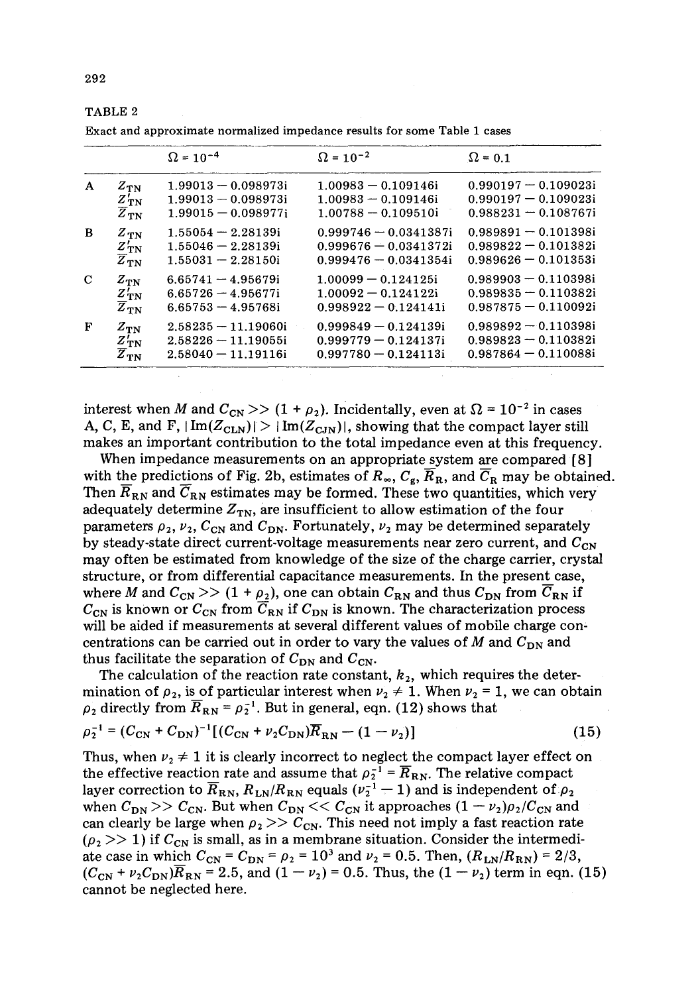|   |                         | $\Omega = 10^{-4}$     | $\Omega = 10^{-2}$       | $\Omega = 0.1$         |
|---|-------------------------|------------------------|--------------------------|------------------------|
| A | $Z_{\rm TN}$            | $1.99013 - 0.098973$ i | $1.00983 - 0.109146i$    | $0.990197 - 0.109023i$ |
|   | $Z'_{\rm TN}$           | $1.99013 - 0.098973$ i | $1.00983 - 0.109146i$    | $0.990197 - 0.109023i$ |
|   | $\overline{Z}_{\rm TN}$ | $1.99015 - 0.098977$ i | $1.00788 - 0.109510$ i   | $0.988231 - 0.108767$  |
| в | $Z_{\rm \,TN}$          | $1.55054 - 2.28139i$   | $0.999746 - 0.0341387$ i | $0.989891 - 0.101398i$ |
|   | $Z'_{\rm TN}$           | $1.55046 - 2.28139i$   | $0.999676 - 0.0341372i$  | $0.989822 - 0.101382i$ |
|   | $Z_{\rm \,TN}$          | $1.55031 - 2.28150i$   | $0.999476 - 0.0341354i$  | $0.989626 - 0.101353i$ |
| C | $Z_{\rm TN}$            | $6.65741 - 4.95679i$   | $1.00099 - 0.124125$ i   | $0.989903 - 0.110398i$ |
|   | $Z'_{\rm \bf TN}$       | $6.65726 - 4.95677i$   | $1.00092 - 0.124122i$    | $0.989835 - 0.110382i$ |
|   | $\overline{Z}_{\rm TN}$ | $6.65753 - 4.95768i$   | $0.998922 - 0.124141i$   | $0.987875 - 0.110092i$ |
| F | $Z_{\rm TN}$            | $2.58235 - 11.19060i$  | $0.999849 - 0.124139i$   | $0.989892 - 0.110398i$ |
|   | $Z'_{\rm TN}$           | $2.58226 - 11.19055i$  | $0.999779 - 0.124137i$   | $0.989823 - 0.110382i$ |
|   | $\overline{Z}_{\rm TN}$ | $2.58040 - 11.19116i$  | $0.997780 - 0.124113i$   | $0.987864 - 0.110088i$ |

Exact and approximate normalized impedance results for some Table 1 cases

interest when M and  $C_{CN} >> (1 + \rho_2)$ . Incidentally, even at  $\Omega = 10^{-2}$  in cases A, C, E, and F,  $|\text{Im}(Z_{\text{CLN}})|>|\text{Im}(Z_{\text{CLN}})|$ , showing that the compact layer still makes an important contribution to the total impedance even at this frequency.

When impedance measurements on an appropriate system are compared [8] with the predictions of Fig. 2b, estimates of  $R_{\infty}$ ,  $C_{\varepsilon}$ ,  $\overline{R}_{R}$ , and  $\overline{C}_{R}$  may be obtained. Then  $\overline{R}_{\text{RN}}$  and  $\overline{C}_{\text{RN}}$  estimates may be formed. These two quantities, which very adequately determine  $Z_{TN}$ , are insufficient to allow estimation of the four parameters  $\rho_2$ ,  $v_2$ ,  $C_{CN}$  and  $C_{DN}$ . Fortunately,  $v_2$  may be determined separately by steady-state direct current-voltage measurements near zero current, and  $C_{CN}$ may often be estimated from knowledge of the size of the charge carrier, crystal structure, or from differential capacitance measurements. In the present case, where M and  $C_{CN} >> (1 + \rho_2)$ , one can obtain  $C_{RN}$  and thus  $C_{DN}$  from  $\overline{C}_{RN}$  if  $C_{\text{CN}}$  is known or  $C_{\text{CN}}$  from  $\overline{C}_{\text{RN}}$  if  $C_{\text{DN}}$  is known. The characterization process will be aided if measurements at several different values of mobile charge concentrations can be carried out in order to vary the values of M and  $C_{DN}$  and thus facilitate the separation of  $C_{DN}$  and  $C_{CN}$ .

The calculation of the reaction rate constant,  $k_2$ , which requires the determination of  $\rho_2$ , is of particular interest when  $\nu_2 \neq 1$ . When  $\nu_2 = 1$ , we can obtain  $\rho_2$  directly from  $\overline{R}_{\text{RN}} = \rho_2^{-1}$ . But in general, eqn. (12) shows that

$$
\rho_2^{-1} = (C_{\text{CN}} + C_{\text{DN}})^{-1} [(C_{\text{CN}} + \nu_2 C_{\text{DN}}) \overline{R}_{\text{RN}} - (1 - \nu_2)] \tag{15}
$$

Thus, when  $\nu_2 \neq 1$  it is clearly incorrect to neglect the compact layer effect on the effective reaction rate and assume that  $\rho_{2}^{-1} = R_{\rm RN}$ . The relative compact layer correction to  $R_{RN}$ ,  $R_{LN}/R_{RN}$  equals ( $\nu_2^{-1}-1$ ) and is independent of  $\rho_2$ when  $C_{DN} >> C_{CN}$ . But when  $C_{DN} << C_{CN}$  it approaches  $(1 - \nu_2)\rho_2/C_{CN}$  and can clearly be large when  $\rho_2 >> C_{CN}$ . This need not imply a fast reaction rate  $(\rho_2 >> 1)$  if  $C_{CN}$  is small, as in a membrane situation. Consider the intermediate case in which  $C_{CN} = C_{DN} = \rho_2 = 10^3$  and  $\nu_2 = 0.5$ . Then,  $(R_{LN}/R_{RN}) = 2/3$ ,  $(C_{\text{CN}} + \nu_2 C_{\text{DN}})\overline{R}_{\text{RN}} = 2.5$ , and  $(1 - \nu_2) = 0.5$ . Thus, the  $(1 - \nu_2)$  term in eqn. (15) cannot be neglected here.

TABLE 2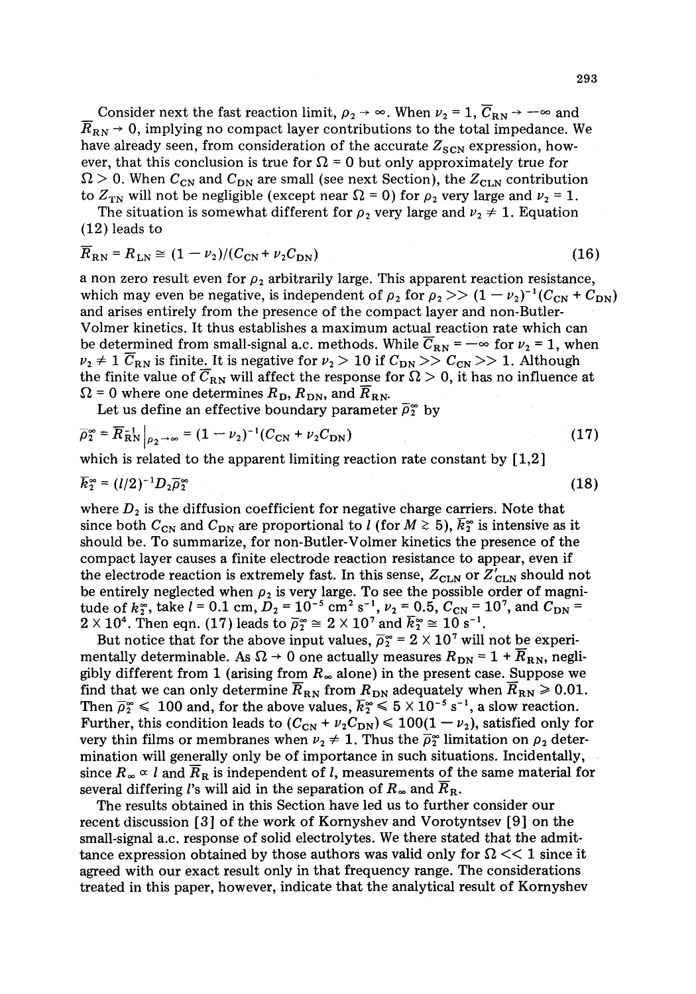Consider next the fast reaction limit,  $\rho_2 \rightarrow \infty$ . When  $\nu_2 = 1$ ,  $\overline{C}_{RN} \rightarrow -\infty$  and  $\overline{R}_{\mathrm{RN}}$   $\rightarrow$  0, implying no compact layer contributions to the total impedance. We have already seen, from consideration of the accurate  $Z_{SCN}$  expression, however, that this conclusion is true for  $\Omega = 0$  but only approximately true for  $\Omega > 0$ . When  $C_{CN}$  and  $C_{DN}$  are small (see next Section), the  $Z_{CLN}$  contribution to  $Z_{TN}$  will not be negligible (except near  $\Omega = 0$ ) for  $\rho_2$  very large and  $\nu_2 = 1$ .

The situation is somewhat different for  $\rho_2$  very large and  $\nu_2 \neq 1$ . Equation (12) leads to

$$
\overline{R}_{\rm RN} = R_{\rm LN} \cong (1 - \nu_2)/(C_{\rm CN} + \nu_2 C_{\rm DN})\tag{16}
$$

a non zero result even for  $\rho_2$  arbitrarily large. This apparent reaction resistance, which may even be negative, is independent of  $\rho_2$  for  $\rho_2$  >>  $(1 - \nu_2)^{-1}(C_{\text{CN}} + C_{\text{DN}})$ and arises entirely from the presence of the compact layer and non-Butler-Volmer kinetics. It thus establishes a maximum actual reaction rate which can be determined from small-signal a.c. methods. While  $\overline{C}_{\text{RN}} = -\infty$  for  $\nu_2 = 1$ , when  $v_2 \neq 1$   $\overline{C}_{\text{RN}}$  is finite. It is negative for  $v_2 > 10$  if  $C_{\text{DN}} >> C_{\text{CN}} >> 1$ . Although the finite value of  $\overline{C}_{RN}$  will affect the response for  $\Omega > 0$ , it has no influence at  $\Omega$  = 0 where one determines  $R_{\text{D}}$ ,  $R_{\text{DN}}$ , and  $\overline{R}_{\text{RN}}$ .

Let us define an effective boundary parameter  $\overline{\rho}^{\infty}_2$  by

$$
\overline{\rho}_2^{\infty} = \overline{R}_{\rm RN}^{-1} \Big|_{\rho_2 \to \infty} = (1 - \nu_2)^{-1} (C_{\rm CN} + \nu_2 C_{\rm DN}) \tag{17}
$$

which is related to the apparent limiting reaction rate constant by  $[1,2]$ 

$$
\overline{k}_2^{\infty} = (l/2)^{-1} D_2 \overline{\rho}_2^{\infty} \tag{18}
$$

where  $D_2$  is the diffusion coefficient for negative charge carriers. Note that since both  $C_{CN}$  and  $C_{DN}$  are proportional to l (for  $M \geq 5$ ),  $\overline{k}_{2}^{\infty}$  is intensive as it should be. To summarize, for non-Butler-Volmer kinetics the presence of the compact layer causes a finite electrode reaction resistance to appear, even if the electrode reaction is extremely fast. In this sense,  $Z_{\text{CLN}}$  or  $Z'_{\text{CLN}}$  should not be entirely neglected when  $\rho_2$  is very large. To see the possible order of magnitude of  $k_{2}^{\infty}$ , take  $l = 0.1$  cm,  $D_{2} = 10^{-5}$  cm<sup>2</sup> s<sup>-1</sup>,  $\nu_{2} = 0.5$ ,  $C_{CN} = 10^{7}$ , and  $C_{DN} =$  $2 \times 10^4$ . Then eqn. (17) leads to  $\bar{\rho}_2^{\infty} \cong 2 \times 10^7$  and  $\bar{k}_2^{\infty} \cong 10 \text{ s}^{-1}$ .

But notice that for the above input values,  $\overline{\rho}^{\infty}$  = 2 × 10<sup>7</sup> will not be experimentally determinable. As  $\Omega \rightarrow 0$  one actually measures  $R_{DN} = 1 + \overline{R}_{RN}$ , negligibly different from 1 (arising from  $R_{\infty}$  alone) in the present case. Suppose we find that we can only determine  $\overline{R}_{\rm RN}$  from  $R_{\rm DN}$  adequately when  $\overline{R}_{\rm RN} \geqslant 0.01$ . Then  $\bar{\rho}_2^{\infty} \leq 100$  and, for the above values,  $\bar{k}_2^{\infty} \leq 5 \times 10^{-5}$  s<sup>-1</sup>, a slow reaction. Further, this condition leads to  $(C_{CN} + \nu_2 C_{DN}) \leq 100(1 - \nu_2)$ , satisfied only for very thin films or membranes when  $\nu_2 \neq 1$ . Thus the  $\overline{\rho}_2^{\infty}$  limitation on  $\rho_2$  determination will generally only be of importance in such situations. Incidentally, since  $R_{\infty} \propto l$  and  $\overline{R}_{\text{R}}$  is independent of l, measurements of the same material for several differing l's will aid in the separation of  $R_{\infty}$  and  $\overline{R}_{\text{R}}$ .

The results obtained in this Section have led us to further consider our recent discussion [3] of the work of Kornyshev and Vorotyntsev [9] on the small-signal a.c. response of solid electrolytes. We there stated that the admittance expression obtained by those authors was valid only for  $\Omega \ll 1$  since it agreed with our exact result only in that frequency range. The considerations treated in this paper, however, indicate that the analytical result of Kornyshev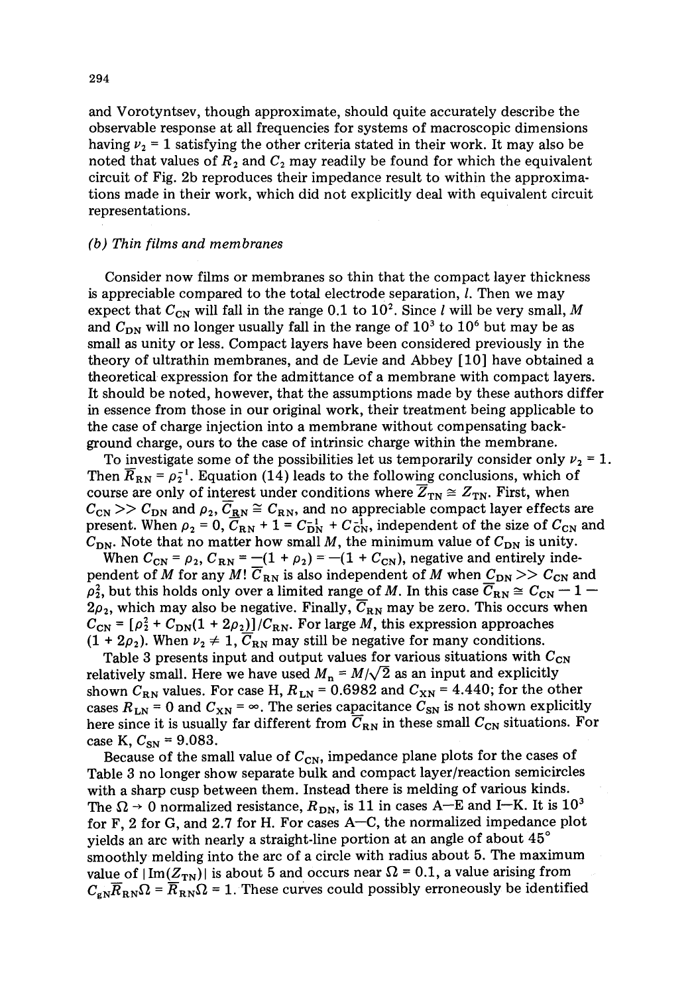and Vorotyntsev, though approximate, should quite accurately describe the observable response at all frequencies for systems of macroscopic dimensions having  $\nu_2 = 1$  satisfying the other criteria stated in their work. It may also be noted that values of  $R_2$  and  $C_2$  may readily be found for which the equivalent circuit of Fig. 2b reproduces their impedance result to within the approximations made in their work, which did not explicitly deal with equivalent circuit representations.

# *(b) Thin films and membranes*

Consider now films or membranes so thin that the compact layer thickness is appreciable compared to the total electrode separation, l. Then we may expect that  $C_{CN}$  will fall in the range 0.1 to 10<sup>2</sup>. Since l will be very small, M and  $C_{\text{DN}}$  will no longer usually fall in the range of  $10^3$  to  $10^6$  but may be as small as unity or less. Compact layers have been considered previously in the theory of ultrathin membranes, and de Levie and Abbey [10] have obtained a theoretical expression for the admittance of a membrane with compact layers. It should be noted, however, that the assumptions made by these authors differ in essence from those in our original work, their treatment being applicable to the case of charge injection into a membrane without compensating background charge, ours to the case of intrinsic charge within the membrane.

To investigate some of the possibilities let us temporarily consider only  $\nu_2 = 1$ . Then  $\overline{R}_{\rm RN} = \rho_2^{-1}$ . Equation (14) leads to the following conclusions, which of course are only of interest under conditions where  $\overline{Z}_{TN} \cong Z_{TN}$ . First, when  $C_{\text{CN}} >> C_{\text{DN}}$  and  $\rho_2, \overline{C}_{\text{RN}} \cong C_{\text{RN}}$ , and no appreciable compact layer effects are present. When  $\rho_2 = 0$ ,  $\overline{C}_{RN} + 1 = C_{DN}^{-1} + C_{CN}^{-1}$ , independent of the size of  $C_{CN}$  and  $C_{DN}$ . Note that no matter how small M, the minimum value of  $C_{DN}$  is unity.

When  $C_{CN} = \rho_2$ ,  $C_{RN} = -(1 + \rho_2) = -(1 + C_{CN})$ , negative and entirely independent of M for any M!  $\overline{C}_{RN}$  is also independent of M when  $C_{DN} >> C_{CN}$  and  $\rho_2^2$ , but this holds only over a limited range of M. In this case  $\overline{C}_{RN} \cong C_{CN} - 1 2\rho_2$ , which may also be negative. Finally,  $\overline{C}_{RN}$  may be zero. This occurs when  $C_{\text{CN}} = [\rho_2^2 + C_{\text{DN}}(1 + 2\rho_2)]/C_{\text{RN}}$ . For large *M*, this expression approaches  $(1 + 2\rho_2)$ . When  $\nu_2 \neq 1$ ,  $\overline{C}_{RN}$  may still be negative for many conditions.

Table 3 presents input and output values for various situations with  $C_{CN}$ relatively small. Here we have used  $M_n = M/\sqrt{2}$  as an input and explicitly shown  $C_{RN}$  values. For case H,  $R_{LN}$  = 0.6982 and  $C_{XN}$  = 4.440; for the other cases  $R_{LN}$  = 0 and  $C_{XN}$  =  $\infty$ . The series capacitance  $C_{SN}$  is not shown explicitly here since it is usually far different from  $\overline{C_{RN}}$  in these small  $C_{CN}$  situations. For case K,  $C_{SN}$  = 9.083.

Because of the small value of  $C_{CN}$ , impedance plane plots for the cases of Table 3 no longer show separate bulk and compact layer/reaction semicircles with a sharp cusp between them. Instead there is melding of various kinds. The  $\Omega \rightarrow 0$  normalized resistance,  $R_{DN}$ , is 11 in cases A-E and I-K. It is 10<sup>3</sup> for F, 2 for G, and 2.7 for H. For cases A-C, the normalized impedance plot yields an arc with nearly a straight-line portion at an angle of about 45<sup>°</sup> smoothly melding into the arc of a circle with radius about 5. The maximum value of  $|\text{Im}(Z_{TN})|$  is about 5 and occurs near  $\Omega = 0.1$ , a value arising from  $C_{\alpha N}\overline{R}_{RN}\Omega = \overline{R}_{RN}\Omega = 1$ . These curves could possibly erroneously be identified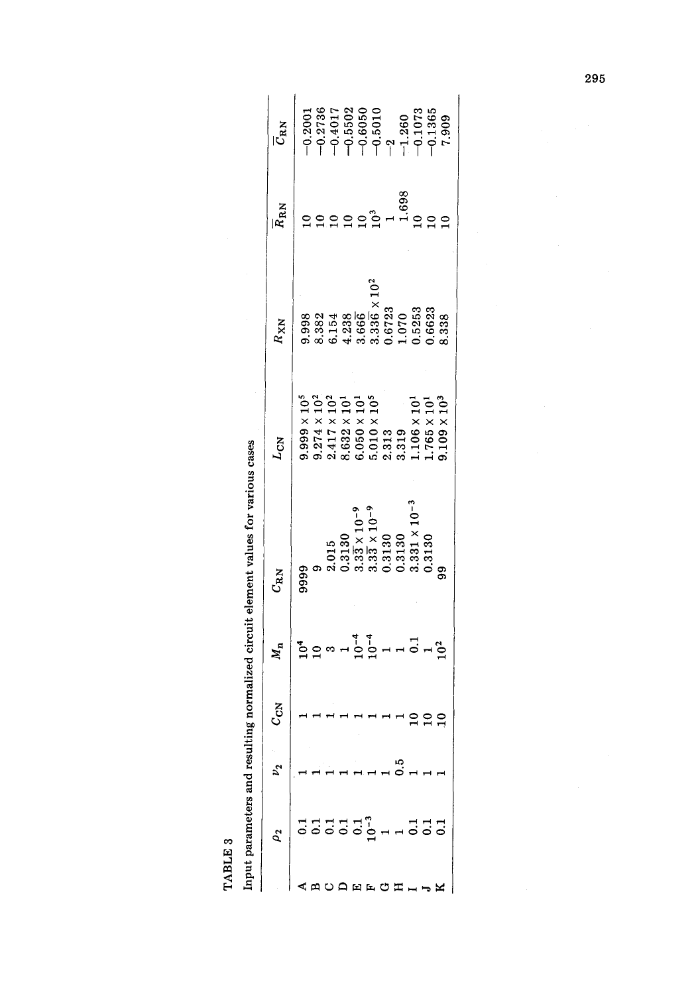|                    | $\rho_2$    | $\overline{c}_d$ | ್ರ                                      | $\mathbf{z}_{\mathbf{n}}$                                                                                  | $C_{\mathbf{R}\mathbf{N}}$                                                                                                                                                                                                | $L_{\rm CN}$                                                                                                                                                                                         | $R_{\rm XN}$                                                                                                | $\overline{R}_{\rm RN}$                           | $\bar{C}_{\text{RM}}$                                                                                                                                                                                                                                                                                       |
|--------------------|-------------|------------------|-----------------------------------------|------------------------------------------------------------------------------------------------------------|---------------------------------------------------------------------------------------------------------------------------------------------------------------------------------------------------------------------------|------------------------------------------------------------------------------------------------------------------------------------------------------------------------------------------------------|-------------------------------------------------------------------------------------------------------------|---------------------------------------------------|-------------------------------------------------------------------------------------------------------------------------------------------------------------------------------------------------------------------------------------------------------------------------------------------------------------|
|                    | 333339--333 |                  |                                         |                                                                                                            | 9999                                                                                                                                                                                                                      |                                                                                                                                                                                                      |                                                                                                             |                                                   |                                                                                                                                                                                                                                                                                                             |
|                    |             |                  |                                         |                                                                                                            |                                                                                                                                                                                                                           |                                                                                                                                                                                                      |                                                                                                             |                                                   |                                                                                                                                                                                                                                                                                                             |
|                    |             |                  |                                         |                                                                                                            |                                                                                                                                                                                                                           |                                                                                                                                                                                                      |                                                                                                             |                                                   |                                                                                                                                                                                                                                                                                                             |
|                    |             |                  |                                         |                                                                                                            |                                                                                                                                                                                                                           |                                                                                                                                                                                                      |                                                                                                             | $\ddot{\phantom{0}}$                              |                                                                                                                                                                                                                                                                                                             |
|                    |             |                  |                                         |                                                                                                            |                                                                                                                                                                                                                           |                                                                                                                                                                                                      |                                                                                                             |                                                   |                                                                                                                                                                                                                                                                                                             |
| <b>AAOAREGHI-K</b> |             |                  |                                         | $\begin{array}{c}\n 2 \text{ m} \\ 3 \text{ m} \\ 1 \text{ m} \\ 2 \text{ m} \\ 3 \text{ m}\n \end{array}$ | $\begin{array}{l} 2.015 \\ 0.3130 \\ 0.3130 \\ 3.33 \times 10^{-9} \\ 3.33 \times 10^{-9} \\ 0.3130 \\ 0.3130 \\ 0.3130 \\ 3.331 \times 10^{-3} \\ 3.331 \times 10^{-3} \\ 3.331 \times 10^{-3} \\ 0.3130 \\ \end{array}$ |                                                                                                                                                                                                      |                                                                                                             |                                                   |                                                                                                                                                                                                                                                                                                             |
|                    |             |                  |                                         |                                                                                                            |                                                                                                                                                                                                                           |                                                                                                                                                                                                      |                                                                                                             |                                                   |                                                                                                                                                                                                                                                                                                             |
|                    |             |                  |                                         |                                                                                                            |                                                                                                                                                                                                                           |                                                                                                                                                                                                      |                                                                                                             | $\begin{array}{c} 10^3 \\ 1 \\ 1.698 \end{array}$ |                                                                                                                                                                                                                                                                                                             |
|                    |             |                  |                                         |                                                                                                            |                                                                                                                                                                                                                           |                                                                                                                                                                                                      |                                                                                                             |                                                   |                                                                                                                                                                                                                                                                                                             |
|                    |             |                  | $\begin{array}{c} 28 \\ 21 \end{array}$ |                                                                                                            |                                                                                                                                                                                                                           |                                                                                                                                                                                                      |                                                                                                             |                                                   |                                                                                                                                                                                                                                                                                                             |
|                    |             |                  |                                         |                                                                                                            |                                                                                                                                                                                                                           | $\begin{array}{l} 9.999 \times 10^5\\ 9.274 \times 10^2\\ 9.274 \times 10^2\\ 2.417 \times 10^2\\ 2.632 \times 10^1\\ 8.632 \times 10^1\\ 9.010 \times 10^1\\ 5.010 \times 10^5\\ 2.313 \end{array}$ | 9.998<br>8.382<br>6.154<br>4.238<br>4.238 × 10 <sup>2</sup><br>3.336 × 1070<br>0.6623<br>0.66338<br>0.66338 |                                                   | $\begin{array}{l} 2001 \\ 70213 \\ 6030 \\ 71401 \\ 6030 \\ 71500 \\ 71350 \\ 8030 \\ 71350 \\ 7130 \\ 7130 \\ 7130 \\ 7130 \\ 7130 \\ 7130 \\ 7130 \\ 7130 \\ 7130 \\ 7130 \\ 7130 \\ 7130 \\ 7130 \\ 7130 \\ 7130 \\ 7130 \\ 7130 \\ 7130 \\ 7130 \\ 7130 \\ 7130 \\ 7130 \\ 7130 \\ 7130 \\ 7130 \\ 713$ |
|                    |             |                  |                                         |                                                                                                            |                                                                                                                                                                                                                           |                                                                                                                                                                                                      |                                                                                                             |                                                   |                                                                                                                                                                                                                                                                                                             |

Input parameters and resulting normalized circuit element values for various cases

TABLE 3

295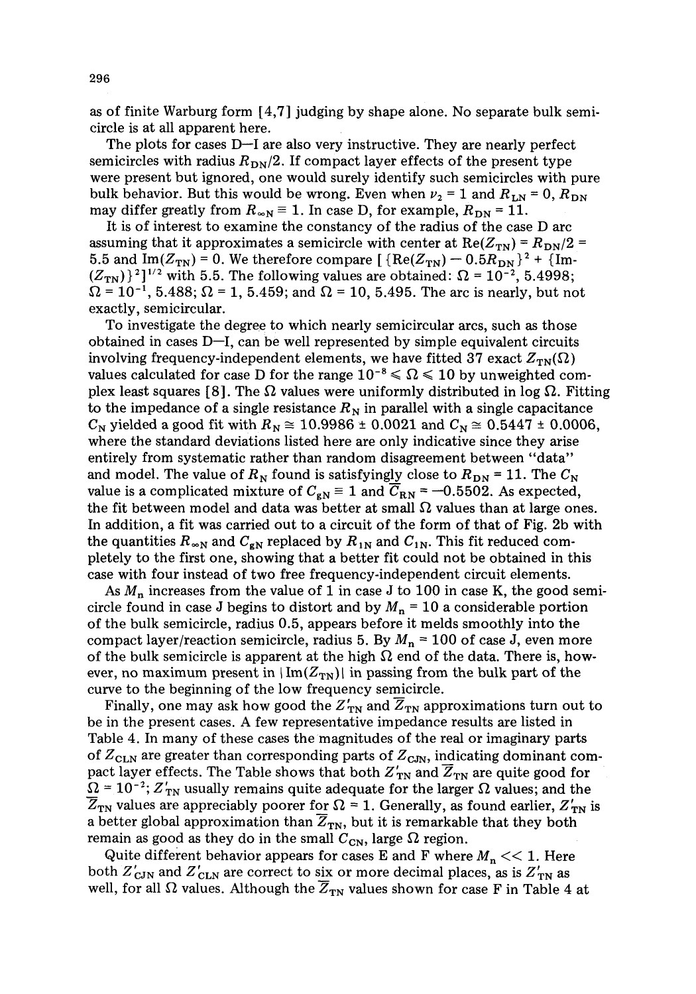as of finite Warburg form [4,7] judging by shape alone. No separate bulk semicircle is at all apparent here.

The plots for cases D-I are also very instructive. They are nearly perfect semicircles with radius  $R_{\text{DN}}/2$ . If compact layer effects of the present type were present but ignored, one would surely identify such semicircles with pure bulk behavior. But this would be wrong. Even when  $v_2 = 1$  and  $R_{LN} = 0$ ,  $R_{DN}$ may differ greatly from  $R_{\infty N} = 1$ . In case D, for example,  $R_{DN} = 11$ .

It is of interest to examine the constancy of the radius of the case D arc assuming that it approximates a semicircle with center at  $Re(Z_{TN}) = R_{DN}/2 =$ 5.5 and Im( $Z_{TN}$ ) = 0. We therefore compare [{Re( $Z_{TN}$ ) – 0.5 $R_{DN}$ }<sup>2</sup> + {Im- $(Z_{TN})$ <sup>2</sup>]<sup>1/2</sup> with 5.5. The following values are obtained:  $\Omega = 10^{-2}$ , 5.4998;  $\Omega = 10^{-1}$ , 5.488;  $\Omega = 1$ , 5.459; and  $\Omega = 10$ , 5.495. The arc is nearly, but not exactly, semicircular.

To investigate the degree to which nearly semicircular arcs, such as those obtained in cases  $D-I$ , can be well represented by simple equivalent circuits involving frequency-independent elements, we have fitted 37 exact  $Z_{TN}(\Omega)$ values calculated for case D for the range  $10^{-8} \le \Omega \le 10$  by unweighted complex least squares [8]. The  $\Omega$  values were uniformly distributed in log  $\Omega$ . Fitting to the impedance of a single resistance  $R<sub>N</sub>$  in parallel with a single capacitance  $C_N$  yielded a good fit with  $R_N \approx 10.9986 \pm 0.0021$  and  $C_N \approx 0.5447 \pm 0.0006$ , where the standard deviations listed here are only indicative since they arise entirely from systematic rather than random disagreement between "data" and model. The value of  $R_N$  found is satisfyingly close to  $R_{DN} = 11$ . The  $C_N$ value is a complicated mixture of  $C_{eN} \equiv 1$  and  $\overline{C}_{RN} = -0.5502$ . As expected, the fit between model and data was better at small  $\Omega$  values than at large ones. In addition, a fit was carried out to a circuit of the form of that of Fig. 2b with the quantities  $R_{\infty}$  and  $C_{\text{eN}}$  replaced by  $R_{1N}$  and  $C_{1N}$ . This fit reduced completely to the first one, showing that a better fit could not be obtained in this case with four instead of two free frequency-independent circuit elements.

As  $M_n$  increases from the value of 1 in case J to 100 in case K, the good semicircle found in case J begins to distort and by  $M_n = 10$  a considerable portion of the bulk semicircle, radius 0.5, appears before it melds smoothly into the compact layer/reaction semicircle, radius 5. By  $M_n = 100$  of case J, even more of the bulk semicircle is apparent at the high  $\Omega$  end of the data. There is, however, no maximum present in  $|\text{Im}(Z_{TN})|$  in passing from the bulk part of the curve to the beginning of the low frequency semicircle.

Finally, one may ask how good the  $Z'_{TN}$  and  $\overline{Z}_{TN}$  approximations turn out to be in the present cases. A few representative impedance results are listed in Table 4. In many of these cases the magnitudes of the real or imaginary parts of  $Z_{\text{CLN}}$  are greater than corresponding parts of  $Z_{\text{CJN}}$ , indicating dominant compact layer effects. The Table shows that both  $Z'_{TN}$  and  $\overline{Z}_{TN}$  are quite good for  $\Omega = 10^{-2}$ ;  $Z'_{\text{TN}}$  usually remains quite adequate for the larger  $\Omega$  values; and the  $Z_{TN}$  values are appreciably poorer for  $\Omega = 1$ . Generally, as found earlier,  $Z'_{TN}$  is a better global approximation than  $\overline{Z}_{TN}$ , but it is remarkable that they both remain as good as they do in the small  $C_{CN}$ , large  $\Omega$  region.

Quite different behavior appears for cases E and F where  $M_n \ll 1$ . Here both  $Z'_{\text{CJN}}$  and  $Z'_{\text{CLN}}$  are correct to six or more decimal places, as is  $Z'_{\text{TN}}$  as well, for all  $\Omega$  values. Although the  $\overline{Z}_{TN}$  values shown for case F in Table 4 at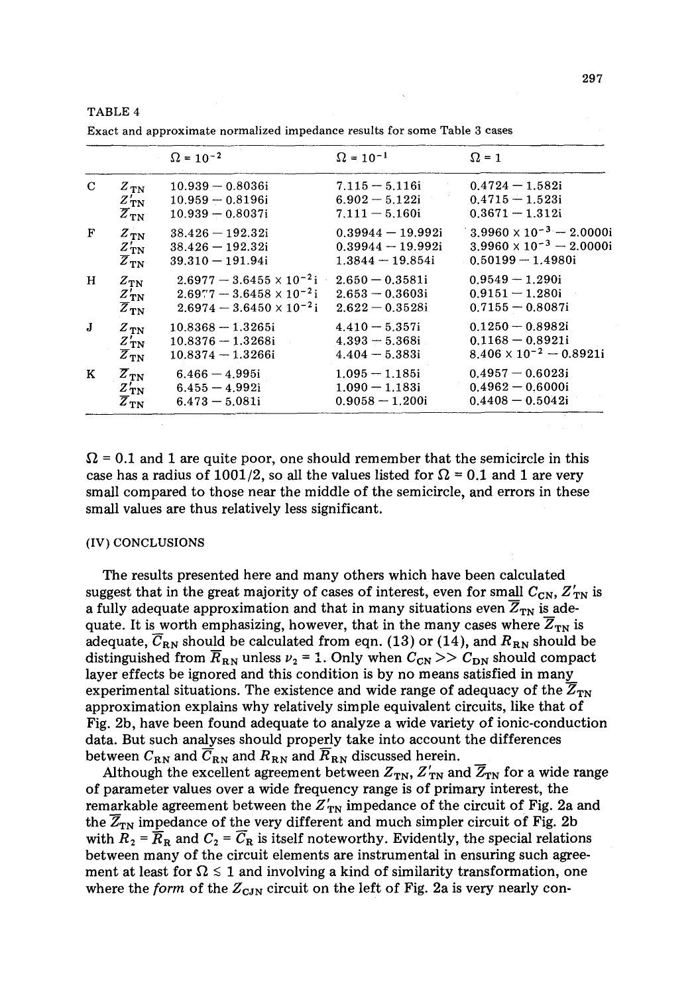TABLE 4

|   |                         | $\Omega = 10^{-2}$                 | $\Omega = 10^{-1}$  | $\Omega = 1$                       |
|---|-------------------------|------------------------------------|---------------------|------------------------------------|
| C | $Z_{\rm \,TN}$          | $10.939 - 0.8036$ i                | $7.115 - 5.116i$    | $0.4724 - 1.582i$                  |
|   | $Z'_{\rm TN}$           | $10.959 - 0.8196i$                 | $6.902 - 5.122i$    | $0.4715 - 1.523i$                  |
|   | $\overline{Z}_{\rm TN}$ | $10.939 - 0.8037$ i                | $7.111 - 5.160i$    | $0.3671 - 1.312i$                  |
| F | $Z_{\rm \,TN}$          | $38.426 - 192.32i$                 | $0.39944 - 19.992i$ | $3.9960 \times 10^{-3} - 2.0000i$  |
|   | $Z'_{\rm TN}$           | $38.426 - 192.32i$                 | $0.39944 - 19.992i$ | $3.9960 \times 10^{-3} - 2.0000$ i |
|   | $\overline{Z}_{\rm TN}$ | $39.310 - 191.94i$                 | $1.3844 - 19.854i$  | $0.50199 - 1.4980i$                |
| H | $Z_{\rm TN}$            | $2.6977 - 3.6455 \times 10^{-2}$ i | $2.650 - 0.3581i$   | $0.9549 - 1.290i$                  |
|   | $Z'_{\rm TN}$           | $2.6977 - 3.6458 \times 10^{-2}$ i | $2.653 - 0.3603i$   | $0.9151 - 1.280i$                  |
|   | $\overline{Z}_{\rm TN}$ | $2.6974 - 3.6450 \times 10^{-2}$ i | $2.622 - 0.3528i$   | $0.7155 - 0.8087i$                 |
| J | $Z_{\rm \,TN}$          | $10.8368 - 1.3265i$                | $4.410 - 5.357i$    | $0.1250 - 0.8982i$                 |
|   | $Z'_{\rm TN}$           | $10.8376 - 1.3268i$                | $4.393 - 5.368i$    | $0.1168 - 0.8921i$                 |
|   | ${Z}_{\rm \bf TN}$      | $10.8374 - 1.3266i$                | $4.404 - 5.383i$    | $8.406 \times 10^{-2} - 0.8921$ i  |
| Κ | $Z_{\rm \,TN}$          | $6.466 - 4.995i$                   | $1.095 - 1.185i$    | $0.4957 - 0.6023i$                 |
|   | $Z^\prime_{\rm \,TN}$   | $6.455 - 4.992i$                   | $1.090 - 1.183i$    | $0.4962 - 0.6000i$                 |
|   | $\overline{Z}_{\rm TN}$ | $6.473 - 5.081i$                   | $0.9058 - 1.200i$   | $0.4408 - 0.5042i$                 |

Exact and approximate normalized impedance results for some Table 3 cases

 $\Omega$  = 0.1 and 1 are quite poor, one should remember that the semicircle in this case has a radius of  $1001/2$ , so all the values listed for  $\Omega = 0.1$  and 1 are very small compared to those near the middle of the semicircle, and errors in these small values are thus relatively less significant.

#### (IV) CONCLUSIONS

The results presented here and many others which have been calculated suggest that in the great majority of cases of interest, even for small  $C_{CN}$ ,  $Z'_{TN}$  is a fully adequate approximation and that in many situations even  $\overline{Z}_{\text{TN}}$  is adequate. It is worth emphasizing, however, that in the many cases where  $\overline{Z}_{TN}$  is adequate,  $\overline{\mathcal{C}}_{\text{RN}}$  should be calculated from eqn. (13) or (14), and  $R_{\text{RN}}$  should be distinguished from  $\overline{R}_{\rm RN}$  unless  $\nu_2 = 1$ . Only when  $C_{\rm CN} >> C_{\rm DN}$  should compact layer effects be ignored and this condition is by no means satisfied in many experimental situations. The existence and wide range of adequacy of the  $\overline{Z}_\textrm{TN}$ approximation explains why relatively simple equivalent circuits, like that of Fig. 2b, have been found adequate to analyze a wide variety of ionic-conduction data. But such analyses should properly take into account the differences between  $C_{RN}$  and  $\overline{C}_{RN}$  and  $R_{RN}$  and  $\overline{R}_{RN}$  discussed herein.

Although the excellent agreement between  $Z_{\text{TN}}$ ,  $Z'_{\text{TN}}$  and  $\overline{Z}_{\text{TN}}$  for a wide range of parameter values over a wide frequency range is of primary interest, the remarkable agreement between the  $Z'_{\text{TN}}$  impedance of the circuit of Fig. 2a and the  $\overline{Z}_{TN}$  impedance of the very different and much simpler circuit of Fig. 2b with  $R_2 = \overline{R}_R$  and  $C_2 = C_R$  is itself noteworthy. Evidently, the special relations between many of the circuit elements are instrumental in ensuring such agreement at least for  $\Omega \leq 1$  and involving a kind of similarity transformation, one where the form of the  $Z_{\text{CJN}}$  circuit on the left of Fig. 2a is very nearly con